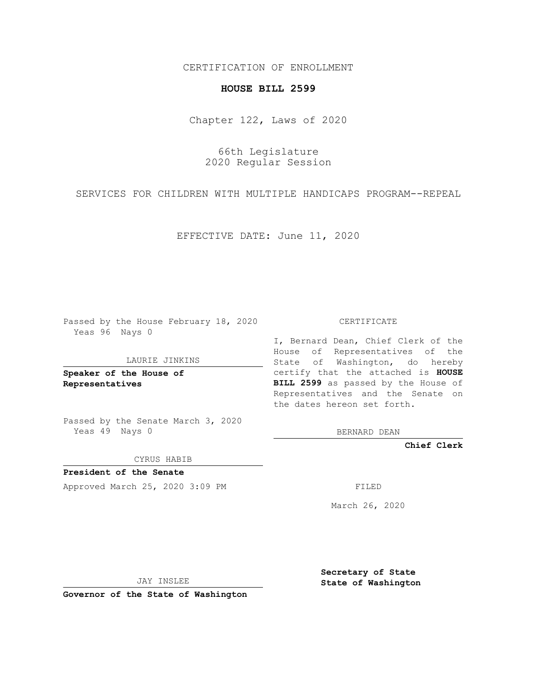CERTIFICATION OF ENROLLMENT

## **HOUSE BILL 2599**

Chapter 122, Laws of 2020

66th Legislature 2020 Regular Session

SERVICES FOR CHILDREN WITH MULTIPLE HANDICAPS PROGRAM--REPEAL

EFFECTIVE DATE: June 11, 2020

Passed by the House February 18, 2020 Yeas 96 Nays 0

LAURIE JINKINS

**Speaker of the House of Representatives**

Passed by the Senate March 3, 2020 Yeas 49 Nays 0

CYRUS HABIB

**President of the Senate** Approved March 25, 2020 3:09 PM FILED

CERTIFICATE

I, Bernard Dean, Chief Clerk of the House of Representatives of the State of Washington, do hereby certify that the attached is **HOUSE BILL 2599** as passed by the House of Representatives and the Senate on the dates hereon set forth.

BERNARD DEAN

**Chief Clerk**

March 26, 2020

JAY INSLEE

**Governor of the State of Washington**

**Secretary of State State of Washington**